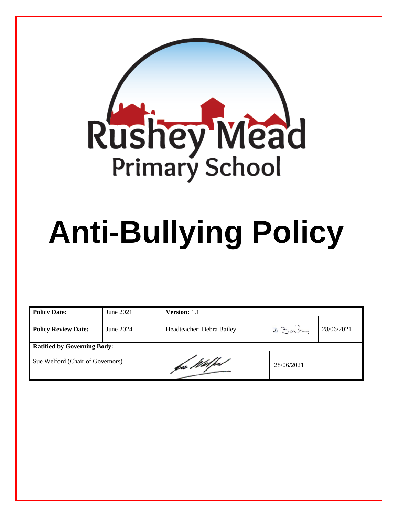

# **Anti-Bullying Policy**

| <b>Policy Date:</b>                | June 2021 | <b>Version:</b> 1.1       |            |            |  |
|------------------------------------|-----------|---------------------------|------------|------------|--|
| <b>Policy Review Date:</b>         | June 2024 | Headteacher: Debra Bailey | D.30       | 28/06/2021 |  |
| <b>Ratified by Governing Body:</b> |           |                           |            |            |  |
| Sue Welford (Chair of Governors)   |           | fa Wilfe                  | 28/06/2021 |            |  |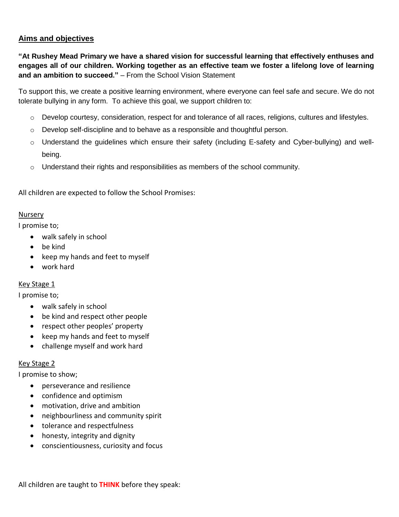# **Aims and objectives**

**"At Rushey Mead Primary we have a shared vision for successful learning that effectively enthuses and engages all of our children. Working together as an effective team we foster a lifelong love of learning and an ambition to succeed."** – From the School Vision Statement

To support this, we create a positive learning environment, where everyone can feel safe and secure. We do not tolerate bullying in any form. To achieve this goal, we support children to:

- o Develop courtesy, consideration, respect for and tolerance of all races, religions, cultures and lifestyles.
- $\circ$  Develop self-discipline and to behave as a responsible and thoughtful person.
- o Understand the guidelines which ensure their safety (including E-safety and Cyber-bullying) and wellbeing.
- $\circ$  Understand their rights and responsibilities as members of the school community.

All children are expected to follow the School Promises:

### Nursery

I promise to;

- walk safely in school
- be kind
- keep my hands and feet to myself
- work hard

### Key Stage 1

I promise to;

- walk safely in school
- be kind and respect other people
- respect other peoples' property
- keep my hands and feet to myself
- challenge myself and work hard

### Key Stage 2

I promise to show;

- perseverance and resilience
- confidence and optimism
- motivation, drive and ambition
- neighbourliness and community spirit
- tolerance and respectfulness
- honesty, integrity and dignity
- conscientiousness, curiosity and focus

All children are taught to **THINK** before they speak: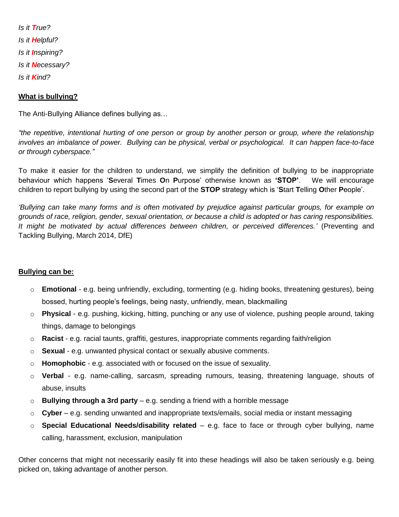*Is it True? Is it Helpful? Is it Inspiring? Is it Necessary? Is it Kind?*

## **What is bullying?**

The Anti-Bullying Alliance defines bullying as…

*"the repetitive, intentional hurting of one person or group by another person or group, where the relationship involves an imbalance of power. Bullying can be physical, verbal or psychological. It can happen face-to-face or through cyberspace."*

To make it easier for the children to understand, we simplify the definition of bullying to be inappropriate behaviour which happens '**S**everal **T**imes **O**n **P**urpose' otherwise known as **'STOP'**. We will encourage children to report bullying by using the second part of the **STOP** strategy which is '**S**tart **T**elling **O**ther **P**eople'.

*'Bullying can take many forms and is often motivated by prejudice against particular groups, for example on grounds of race, religion, gender, sexual orientation, or because a child is adopted or has caring responsibilities. It might be motivated by actual differences between children, or perceived differences.'* (Preventing and Tackling Bullying, March 2014, DfE)

### **Bullying can be:**

- o **Emotional**  e.g. being unfriendly, excluding, tormenting (e.g. hiding books, threatening gestures), being bossed, hurting people's feelings, being nasty, unfriendly, mean, blackmailing
- o **Physical**  e.g. pushing, kicking, hitting, punching or any use of violence, pushing people around, taking things, damage to belongings
- o **Racist**  e.g. racial taunts, graffiti, gestures, inappropriate comments regarding faith/religion
- o **Sexual**  e.g. unwanted physical contact or sexually abusive comments.
- o **Homophobic**  e.g. associated with or focused on the issue of sexuality.
- o **Verbal**  e.g. name-calling, sarcasm, spreading rumours, teasing, threatening language, shouts of abuse, insults
- o **Bullying through a 3rd party**  e.g. sending a friend with a horrible message
- o **Cyber**  e.g. sending unwanted and inappropriate texts/emails, social media or instant messaging
- o **Special Educational Needs/disability related**  e.g. face to face or through cyber bullying, name calling, harassment, exclusion, manipulation

Other concerns that might not necessarily easily fit into these headings will also be taken seriously e.g. being picked on, taking advantage of another person.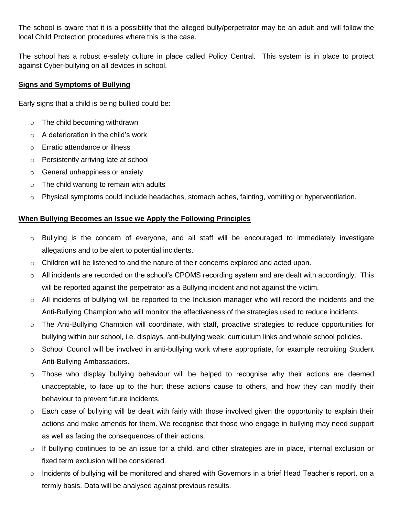The school is aware that it is a possibility that the alleged bully/perpetrator may be an adult and will follow the local Child Protection procedures where this is the case.

The school has a robust e-safety culture in place called Policy Central. This system is in place to protect against Cyber-bullying on all devices in school.

## **Signs and Symptoms of Bullying**

Early signs that a child is being bullied could be:

- o The child becoming withdrawn
- $\circ$  A deterioration in the child's work
- o Erratic attendance or illness
- o Persistently arriving late at school
- o General unhappiness or anxiety
- $\circ$  The child wanting to remain with adults
- o Physical symptoms could include headaches, stomach aches, fainting, vomiting or hyperventilation.

### **When Bullying Becomes an Issue we Apply the Following Principles**

- $\circ$  Bullying is the concern of everyone, and all staff will be encouraged to immediately investigate allegations and to be alert to potential incidents.
- $\circ$  Children will be listened to and the nature of their concerns explored and acted upon.
- $\circ$  All incidents are recorded on the school's CPOMS recording system and are dealt with accordingly. This will be reported against the perpetrator as a Bullying incident and not against the victim.
- $\circ$  All incidents of bullying will be reported to the Inclusion manager who will record the incidents and the Anti-Bullying Champion who will monitor the effectiveness of the strategies used to reduce incidents.
- $\circ$  The Anti-Bullying Champion will coordinate, with staff, proactive strategies to reduce opportunities for bullying within our school, i.e. displays, anti-bullying week, curriculum links and whole school policies.
- o School Council will be involved in anti-bullying work where appropriate, for example recruiting Student Anti-Bullying Ambassadors.
- $\circ$  Those who display bullying behaviour will be helped to recognise why their actions are deemed unacceptable, to face up to the hurt these actions cause to others, and how they can modify their behaviour to prevent future incidents.
- $\circ$  Each case of bullying will be dealt with fairly with those involved given the opportunity to explain their actions and make amends for them. We recognise that those who engage in bullying may need support as well as facing the consequences of their actions.
- o If bullying continues to be an issue for a child, and other strategies are in place, internal exclusion or fixed term exclusion will be considered.
- o Incidents of bullying will be monitored and shared with Governors in a brief Head Teacher's report, on a termly basis. Data will be analysed against previous results.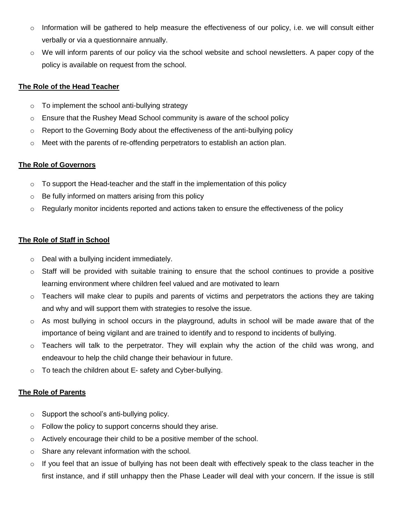- $\circ$  Information will be gathered to help measure the effectiveness of our policy, i.e. we will consult either verbally or via a questionnaire annually.
- $\circ$  We will inform parents of our policy via the school website and school newsletters. A paper copy of the policy is available on request from the school.

## **The Role of the Head Teacher**

- $\circ$  To implement the school anti-bullying strategy
- o Ensure that the Rushey Mead School community is aware of the school policy
- $\circ$  Report to the Governing Body about the effectiveness of the anti-bullying policy
- $\circ$  Meet with the parents of re-offending perpetrators to establish an action plan.

## **The Role of Governors**

- $\circ$  To support the Head-teacher and the staff in the implementation of this policy
- o Be fully informed on matters arising from this policy
- $\circ$  Regularly monitor incidents reported and actions taken to ensure the effectiveness of the policy

# **The Role of Staff in School**

- o Deal with a bullying incident immediately.
- $\circ$  Staff will be provided with suitable training to ensure that the school continues to provide a positive learning environment where children feel valued and are motivated to learn
- $\circ$  Teachers will make clear to pupils and parents of victims and perpetrators the actions they are taking and why and will support them with strategies to resolve the issue.
- $\circ$  As most bullying in school occurs in the playground, adults in school will be made aware that of the importance of being vigilant and are trained to identify and to respond to incidents of bullying.
- $\circ$  Teachers will talk to the perpetrator. They will explain why the action of the child was wrong, and endeavour to help the child change their behaviour in future.
- $\circ$  To teach the children about E- safety and Cyber-bullying.

# **The Role of Parents**

- $\circ$  Support the school's anti-bullying policy.
- $\circ$  Follow the policy to support concerns should they arise.
- $\circ$  Actively encourage their child to be a positive member of the school.
- o Share any relevant information with the school.
- $\circ$  If you feel that an issue of bullying has not been dealt with effectively speak to the class teacher in the first instance, and if still unhappy then the Phase Leader will deal with your concern. If the issue is still